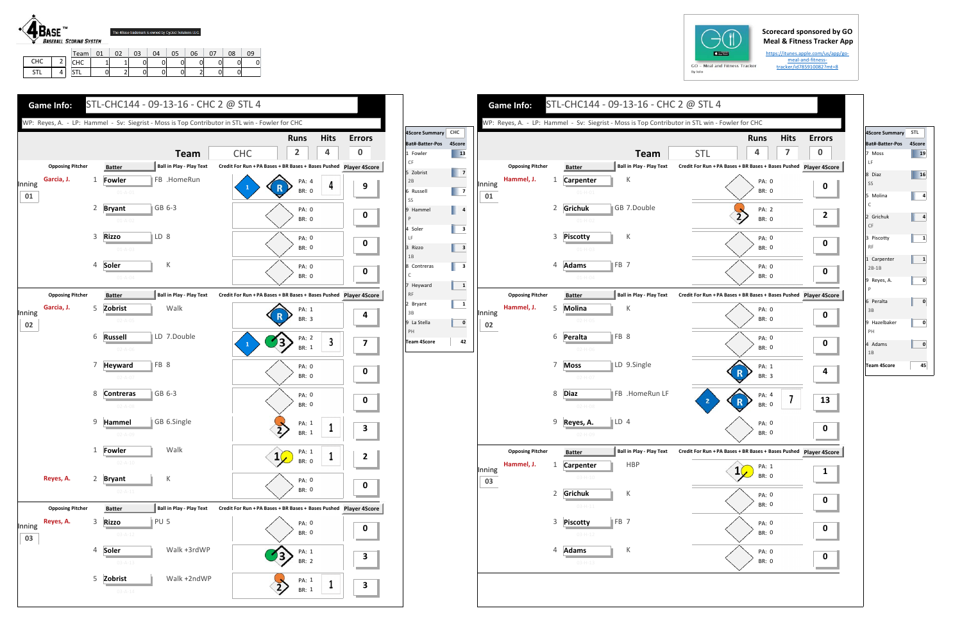## **Scorecard sponsored by GO Meal & Fitness Tracker App**

https://itunes.apple.com/us/app/go‐ meal‐and‐fitness‐ tracker/id785910082?mt=8

STL1. | 4.

CHC | 1 | 1 | 0 | 0 | 0 | 0 | 0 | 0 STL | 0| 2| 0| 0| 0| 2| 0| 0

| $GO -$<br>M |
|-------------|
| By Iolo     |



|              |                         |                |                                  |                 |                                 | WP: Reyes, A. - LP: Hammel - Sv: Siegrist - Moss is Top Contributor in STL win - Fowler for CHC |                       |                  |
|--------------|-------------------------|----------------|----------------------------------|-----------------|---------------------------------|-------------------------------------------------------------------------------------------------|-----------------------|------------------|
|              |                         |                |                                  |                 | <b>Team</b>                     | <b>STL</b>                                                                                      | <b>Runs</b><br>4      | <b>Hits</b><br>7 |
|              | <b>Opposing Pitcher</b> |                | <b>Batter</b>                    |                 | <b>Ball in Play - Play Text</b> | Credit For Run + PA Bases + BR Bases + Bases Pushed Player 4S                                   |                       |                  |
| Inning<br>01 | Hammel, J.              | 1              | Carpenter<br>$01 - H - 01$       |                 | К                               |                                                                                                 | PA: 0<br><b>BR: 0</b> |                  |
|              |                         | 2              | Grichuk<br>$01 - H - 02$         |                 | GB 7.Double                     |                                                                                                 | PA: 2<br>BR: 0        |                  |
|              |                         | 3              | <b>Piscotty</b><br>$01 - H - 03$ |                 | К                               |                                                                                                 | PA: 0<br><b>BR: 0</b> |                  |
|              |                         | 4              | <b>Adams</b><br>$01 - H - 04$    | FB <sub>7</sub> |                                 |                                                                                                 | PA: 0<br><b>BR: 0</b> |                  |
|              | <b>Opposing Pitcher</b> |                | <b>Batter</b>                    |                 | <b>Ball in Play - Play Text</b> | Credit For Run + PA Bases + BR Bases + Bases Pushed Player 4S                                   |                       |                  |
| Inning<br>02 | Hammel, J.              | 5              | Molina<br>$02-H-05$              |                 | Κ                               |                                                                                                 | PA: 0<br>BR: 0        |                  |
|              |                         | 6              | Peralta<br>$02 - H - 06$         | FB 8            |                                 |                                                                                                 | PA: 0<br><b>BR: 0</b> |                  |
|              |                         | 7              | <b>Moss</b><br>$02-H-07$         |                 | LD 9.Single                     |                                                                                                 | PA: 1<br><b>BR: 3</b> |                  |
|              |                         | 8              | <b>Diaz</b><br>$02-H-08$         |                 | FB .HomeRun LF                  | 2                                                                                               | PA: 4<br>BR: 0        | 7                |
|              |                         | 9              | Reyes, A.<br>$02-H-09$           | LD <sub>4</sub> |                                 |                                                                                                 | PA: 0<br><b>BR: 0</b> |                  |
|              | <b>Opposing Pitcher</b> |                | <b>Batter</b>                    |                 | <b>Ball in Play - Play Text</b> | Credit For Run + PA Bases + BR Bases + Bases Pushed Player 49                                   |                       |                  |
| Inning<br>03 | Hammel, J.              | 1              | Carpenter<br>$03-H-10$           |                 | <b>HBP</b>                      |                                                                                                 | PA: 1<br>BR: 0        |                  |
|              |                         | $\overline{2}$ | Grichuk<br>$03 - H - 11$         |                 | Κ                               |                                                                                                 | PA: 0<br>BR: 0        |                  |
|              |                         | 3              | <b>Piscotty</b><br>$03 - H - 12$ | FB <sub>7</sub> |                                 |                                                                                                 | PA: 0<br>BR: 0        |                  |
|              |                         | 4              | <b>Adams</b><br>$03 - H - 13$    |                 | Κ                               |                                                                                                 | PA: 0<br>BR: 0        |                  |







| 4Score Summary STL      |        |
|-------------------------|--------|
| Bat#-Batter-Pos         | 4Score |
| 7 Moss<br>LF            | 19     |
| 8 Diaz<br>SS            | 16     |
| 5 Molina<br>C           | 4      |
| 2 Grichuk<br>CF         | 4      |
| 3 Piscotty<br><b>RF</b> | 1      |
| 1 Carpenter<br>$2B-1B$  | 1      |
| 9 Reyes, A.<br>P        | 0      |
| 6 Peralta<br>3B         | 0      |
| 9 Hazelbaker<br>PH      | 0      |
| 4 Adams<br>1B           | 0      |
| <b>Team 4Score</b>      | 45     |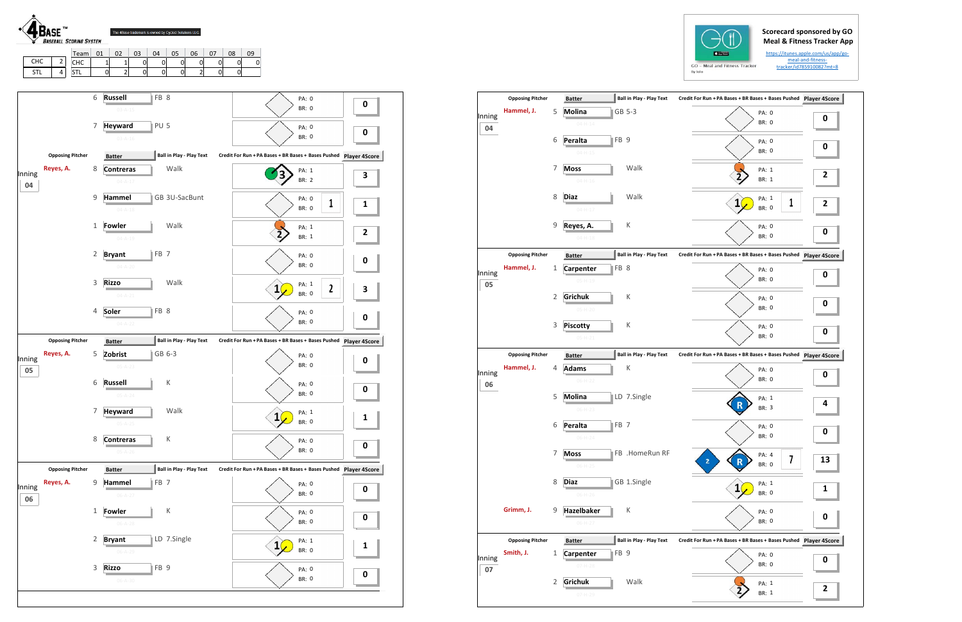## **Scorecard sponsored by GO Meal & Fitness Tracker App**

https://itunes.apple.com/us/app/go‐ meal‐and‐fitness‐ tracker/id785910082?mt=8



|              | <b>Opposing Pitcher</b> |              | <b>Batter</b>                                    | <b>Ball in Play - Play Text</b> | Credit For Run + PA Bases + BR Bases + Bases Pushed Player 4S |           |
|--------------|-------------------------|--------------|--------------------------------------------------|---------------------------------|---------------------------------------------------------------|-----------|
| Inning<br>04 | Hammel, J.              | 5            | Molina<br>$04 - H - 14$                          | GB 5-3                          | PA: 0<br>BR: 0                                                | 0         |
|              |                         | 6            | FB <sub>9</sub><br>Peralta<br>$04 - H - 15$      |                                 | PA: 0<br><b>BR: 0</b>                                         | 0         |
|              |                         | 7            | <b>Moss</b><br>$04 - H - 16$                     | Walk                            | PA: 1<br><b>BR: 1</b>                                         | 2         |
|              |                         | 8            | Diaz<br>$04-H-17$                                | Walk                            | PA: 1<br>1<br>1<br><b>BR: 0</b>                               | 2         |
|              |                         | 9            | Reyes, A.<br>$04 - H - 18$                       | К                               | PA: 0<br>BR: 0                                                | 0         |
|              | <b>Opposing Pitcher</b> |              | <b>Batter</b>                                    | <b>Ball in Play - Play Text</b> | Credit For Run + PA Bases + BR Bases + Bases Pushed           | Player 4S |
| Inning<br>05 | Hammel, J.              | 1            | FB <sub>8</sub><br>Carpenter<br>$05-H-19$        |                                 | PA: 0<br><b>BR: 0</b>                                         | 0         |
|              |                         | 2            | Grichuk<br>$05-H-20$                             | К                               | PA: 0<br><b>BR: 0</b>                                         | 0         |
|              |                         | 3            | <b>Piscotty</b><br>$05-H-21$                     | К                               | PA: 0<br><b>BR: 0</b>                                         | 0         |
|              | <b>Opposing Pitcher</b> |              | <b>Batter</b>                                    | <b>Ball in Play - Play Text</b> | Credit For Run + PA Bases + BR Bases + Bases Pushed Player 4S |           |
| Inning<br>06 | Hammel, J.              | 4            | <b>Adams</b><br>$06-H-22$                        | К                               | PA: 0<br>BR: 0                                                | 0         |
|              |                         | 5            | Molina<br>$06-H-23$                              | LD 7.Single                     | PA: 1<br>BR: 3                                                | 4         |
|              |                         | 6            | Peralta<br>FB <sub>7</sub>                       |                                 | PA: 0<br>BR: 0                                                | 0         |
|              |                         | 7            | <b>Moss</b><br>$06-H-25$                         | FB .HomeRun RF                  | PA: 4<br>7<br>$\mathbf{z}$<br>BR: 0                           | 13        |
|              |                         | 8            | <b>Diaz</b><br>$06-H-26$                         | GB 1.Single                     | PA: 1<br><b>BR: 0</b>                                         | 1         |
|              | Grimm, J.               | 9            | <b>Hazelbaker</b><br>$06-H-27$                   | К                               | PA: 0<br>BR: 0                                                | 0         |
|              | <b>Opposing Pitcher</b> |              | <b>Batter</b>                                    | <b>Ball in Play - Play Text</b> | Credit For Run + PA Bases + BR Bases + Bases Pushed Player 4S |           |
| Inning<br>07 | Smith, J.               | $\mathbf{1}$ | FB <sub>9</sub><br><b>Carpenter</b><br>$07-H-28$ |                                 | PA: 0<br>BR: 0                                                | 0         |
|              |                         |              |                                                  |                                 |                                                               |           |